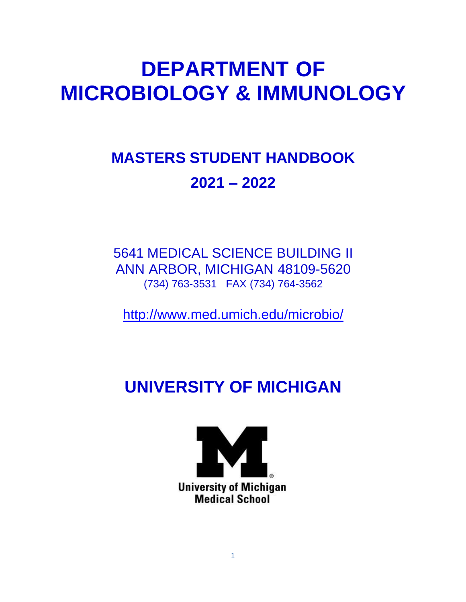# **DEPARTMENT OF MICROBIOLOGY & IMMUNOLOGY**

## **MASTERS STUDENT HANDBOOK 2021 – 2022**

5641 MEDICAL SCIENCE BUILDING II ANN ARBOR, MICHIGAN 48109-5620 (734) 763-3531 FAX (734) 764-3562

<http://www.med.umich.edu/microbio/>

## **UNIVERSITY OF MICHIGAN**

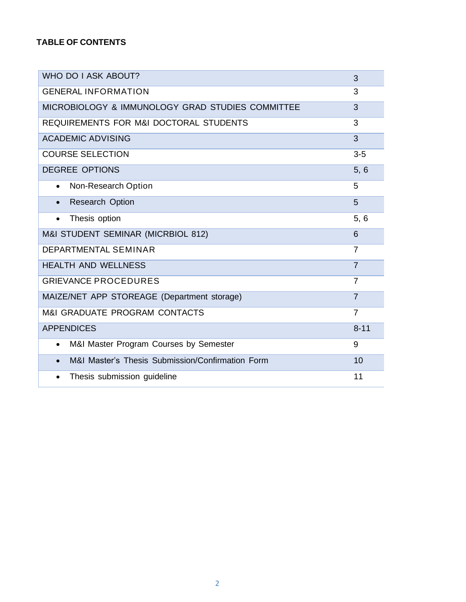### **TABLE OF CONTENTS**

| WHO DO I ASK ABOUT?                                           | 3              |
|---------------------------------------------------------------|----------------|
| <b>GENERAL INFORMATION</b>                                    | 3              |
| MICROBIOLOGY & IMMUNOLOGY GRAD STUDIES COMMITTEE              | 3              |
| REQUIREMENTS FOR M&I DOCTORAL STUDENTS                        | 3              |
| <b>ACADEMIC ADVISING</b>                                      | 3              |
| <b>COURSE SELECTION</b>                                       | $3-5$          |
| <b>DEGREE OPTIONS</b>                                         | 5, 6           |
| Non-Research Option<br>$\bullet$                              | 5              |
| <b>Research Option</b><br>$\bullet$                           | 5              |
| Thesis option<br>$\bullet$                                    | 5, 6           |
| M&I STUDENT SEMINAR (MICRBIOL 812)                            | 6              |
| <b>DEPARTMENTAL SEMINAR</b>                                   | $\overline{7}$ |
| <b>HEALTH AND WELLNESS</b>                                    | $\overline{7}$ |
| <b>GRIEVANCE PROCEDURES</b>                                   | $\overline{7}$ |
| MAIZE/NET APP STOREAGE (Department storage)                   | $\overline{7}$ |
| <b>M&amp;I GRADUATE PROGRAM CONTACTS</b>                      | $\overline{7}$ |
| <b>APPENDICES</b>                                             | $8 - 11$       |
| M&I Master Program Courses by Semester<br>$\bullet$           | 9              |
| M&I Master's Thesis Submission/Confirmation Form<br>$\bullet$ | 10             |
| Thesis submission guideline<br>$\bullet$                      | 11             |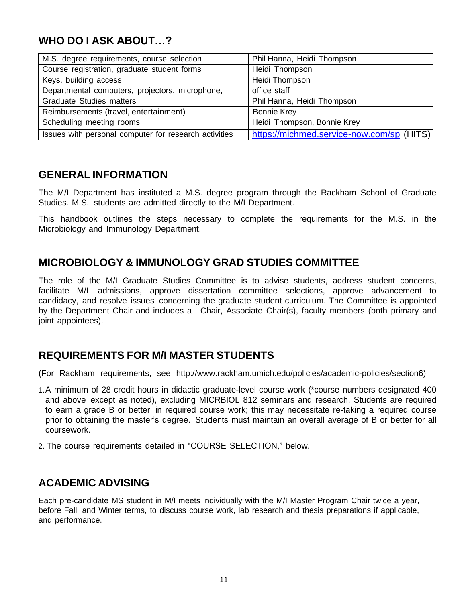## **WHO DO I ASK ABOUT…?**

| M.S. degree requirements, course selection            | Phil Hanna, Heidi Thompson                |
|-------------------------------------------------------|-------------------------------------------|
| Course registration, graduate student forms           | Heidi Thompson                            |
| Keys, building access                                 | Heidi Thompson                            |
| Departmental computers, projectors, microphone,       | office staff                              |
| <b>Graduate Studies matters</b>                       | Phil Hanna, Heidi Thompson                |
| Reimbursements (travel, entertainment)                | <b>Bonnie Krey</b>                        |
| Scheduling meeting rooms                              | Heidi Thompson, Bonnie Krey               |
| Issues with personal computer for research activities | https://michmed.service-now.com/sp (HITS) |

## **GENERAL INFORMATION**

The M/I Department has instituted a M.S. degree program through the Rackham School of Graduate Studies. M.S. students are admitted directly to the M/I Department.

This handbook outlines the steps necessary to complete the requirements for the M.S. in the Microbiology and Immunology Department.

## **MICROBIOLOGY & IMMUNOLOGY GRAD STUDIES COMMITTEE**

The role of the M/I Graduate Studies Committee is to advise students, address student concerns, facilitate M/I admissions, approve dissertation committee selections, approve advancement to candidacy, and resolve issues concerning the graduate student curriculum. The Committee is appointed by the Department Chair and includes a Chair, Associate Chair(s), faculty members (both primary and joint appointees).

## **REQUIREMENTS FOR M/I MASTER STUDENTS**

(For Rackham requirements, see [http://www.rackham.umich.edu/policies/academic-policies/section6\)](http://www.rackham.umich.edu/policies/academic-policies/section6))

- 1.A minimum of 28 credit hours in didactic graduate-level course work (\*course numbers designated 400 and above except as noted), excluding MICRBIOL 812 seminars and research. Students are required to earn a grade B or better in required course work; this may necessitate re-taking a required course prior to obtaining the master's degree. Students must maintain an overall average of B or better for all coursework.
- 2. The course requirements detailed in "COURSE SELECTION," below.

## **ACADEMIC ADVISING**

Each pre-candidate MS student in M/I meets individually with the M/I Master Program Chair twice a year, before Fall and Winter terms, to discuss course work, lab research and thesis preparations if applicable, and performance.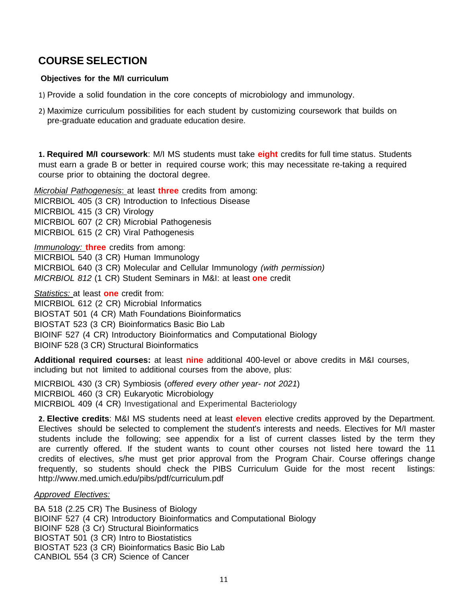## **COURSE SELECTION**

#### **Objectives for the M/I curriculum**

- 1) Provide a solid foundation in the core concepts of microbiology and immunology.
- 2) Maximize curriculum possibilities for each student by customizing coursework that builds on pre-graduate education and graduate education desire.

**1. Required M/I coursework**: M/I MS students must take **eight** credits for full time status. Students must earn a grade B or better in required course work; this may necessitate re-taking a required course prior to obtaining the doctoral degree.

*Microbial Pathogenesis*: at least **three** credits from among: MICRBIOL 405 (3 CR) Introduction to Infectious Disease MICRBIOL 415 (3 CR) Virology MICRBIOL 607 (2 CR) Microbial Pathogenesis MICRBIOL 615 (2 CR) Viral Pathogenesis

*Immunology:* **three** credits from among: MICRBIOL 540 (3 CR) Human Immunology MICRBIOL 640 (3 CR) Molecular and Cellular Immunology *(with permission) MICRBIOL 812* (1 CR) Student Seminars in M&I: at least **one** credit

*Statistics:* at least **one** credit from:

MICRBIOL 612 (2 CR) Microbial Informatics

BIOSTAT 501 (4 CR) Math Foundations Bioinformatics

BIOSTAT 523 (3 CR) Bioinformatics Basic Bio Lab

BIOINF 527 (4 CR) Introductory Bioinformatics and Computational Biology

BIOINF 528 (3 CR) Structural Bioinformatics

**Additional required courses:** at least **nine** additional 400-level or above credits in M&I courses, including but not limited to additional courses from the above, plus:

MICRBIOL 430 (3 CR) Symbiosis (*offered every other year- not 2021*) MICRBIOL 460 (3 CR) Eukaryotic Microbiology MICRBIOL 409 (4 CR) Investigational and Experimental Bacteriology

**2. Elective credits**: M&I MS students need at least **eleven** elective credits approved by the Department. Electives should be selected to complement the student's interests and needs. Electives for M/I master students include the following; see appendix for a list of current classes listed by the term they are currently offered. If the student wants to count other courses not listed here toward the 11 credits of electives, s/he must get prior approval from the Program Chair. Course offerings change frequently, so students should check the PIBS Curriculum Guide for the most recent listings: <http://www.med.umich.edu/pibs/pdf/curriculum.pdf>

#### *Approved Electives:*

BA 518 (2.25 CR) The Business of Biology BIOINF 527 (4 CR) Introductory Bioinformatics and Computational Biology BIOINF 528 (3 Cr) Structural Bioinformatics BIOSTAT 501 (3 CR) Intro to Biostatistics BIOSTAT 523 (3 CR) Bioinformatics Basic Bio Lab CANBIOL 554 (3 CR) Science of Cancer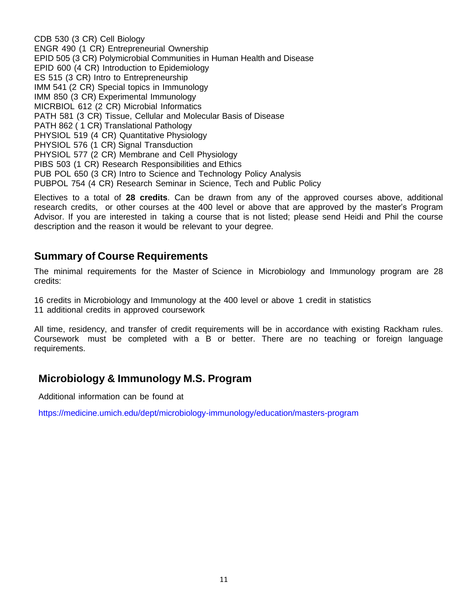CDB 530 (3 CR) Cell Biology ENGR 490 (1 CR) Entrepreneurial Ownership EPID 505 (3 CR) Polymicrobial Communities in Human Health and Disease EPID 600 (4 CR) Introduction to Epidemiology ES 515 (3 CR) Intro to Entrepreneurship IMM 541 (2 CR) Special topics in Immunology IMM 850 (3 CR) Experimental Immunology MICRBIOL 612 (2 CR) Microbial Informatics PATH 581 (3 CR) Tissue, Cellular and Molecular Basis of Disease PATH 862 ( 1 CR) Translational Pathology PHYSIOL 519 (4 CR) Quantitative Physiology PHYSIOL 576 (1 CR) Signal Transduction PHYSIOL 577 (2 CR) Membrane and Cell Physiology PIBS 503 (1 CR) Research Responsibilities and Ethics PUB POL 650 (3 CR) Intro to Science and Technology Policy Analysis PUBPOL 754 (4 CR) Research Seminar in Science, Tech and Public Policy

Electives to a total of **28 credits**. Can be drawn from any of the approved courses above, additional research credits, or other courses at the 400 level or above that are approved by the master's Program Advisor. If you are interested in taking a course that is not listed; please send Heidi and Phil the course description and the reason it would be relevant to your degree.

## **Summary of Course Requirements**

The minimal requirements for the Master of Science in Microbiology and Immunology program are 28 credits:

16 credits in Microbiology and Immunology at the 400 level or above 1 credit in statistics 11 additional credits in approved coursework

All time, residency, and transfer of credit requirements will be in accordance with existing Rackham rules. Coursework must be completed with a B or better. There are no teaching or foreign language requirements.

## **Microbiology & Immunology M.S. Program**

Additional information can be found at

https://medicine.umich.edu/dept/microbiology-immunology/education/masters-program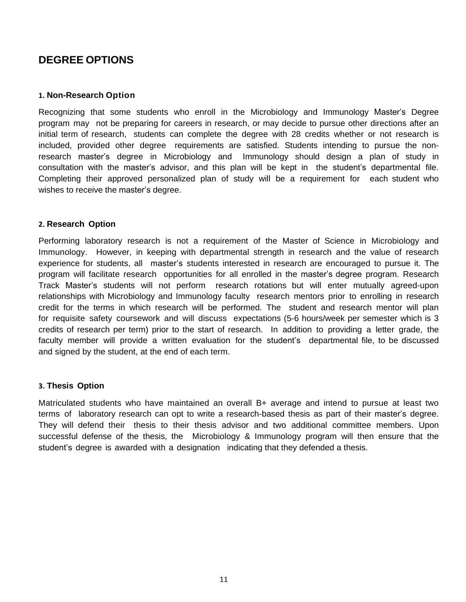## **DEGREE OPTIONS**

#### **1. Non-Research Option**

Recognizing that some students who enroll in the Microbiology and Immunology Master's Degree program may not be preparing for careers in research, or may decide to pursue other directions after an initial term of research, students can complete the degree with 28 credits whether or not research is included, provided other degree requirements are satisfied. Students intending to pursue the nonresearch master's degree in Microbiology and Immunology should design a plan of study in consultation with the master's advisor, and this plan will be kept in the student's departmental file. Completing their approved personalized plan of study will be a requirement for each student who wishes to receive the master's degree.

#### **2. Research Option**

Performing laboratory research is not a requirement of the Master of Science in Microbiology and Immunology. However, in keeping with departmental strength in research and the value of research experience for students, all master's students interested in research are encouraged to pursue it. The program will facilitate research opportunities for all enrolled in the master's degree program. Research Track Master's students will not perform research rotations but will enter mutually agreed-upon relationships with Microbiology and Immunology faculty research mentors prior to enrolling in research credit for the terms in which research will be performed. The student and research mentor will plan for requisite safety coursework and will discuss expectations (5-6 hours/week per semester which is 3 credits of research per term) prior to the start of research. In addition to providing a letter grade, the faculty member will provide a written evaluation for the student's departmental file, to be discussed and signed by the student, at the end of each term.

#### **3. Thesis Option**

Matriculated students who have maintained an overall B+ average and intend to pursue at least two terms of laboratory research can opt to write a research-based thesis as part of their master's degree. They will defend their thesis to their thesis advisor and two additional committee members. Upon successful defense of the thesis, the Microbiology & Immunology program will then ensure that the student's degree is awarded with a designation indicating that they defended a thesis.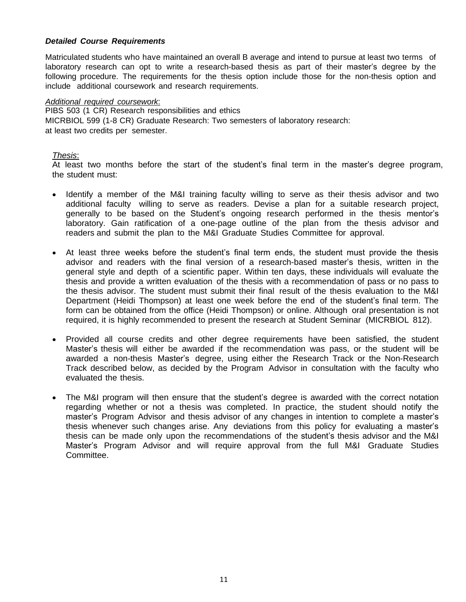#### *Detailed Course Requirements*

Matriculated students who have maintained an overall B average and intend to pursue at least two terms of laboratory research can opt to write a research-based thesis as part of their master's degree by the following procedure. The requirements for the thesis option include those for the non-thesis option and include additional coursework and research requirements.

#### *Additional required coursework*:

 PIBS 503 (1 CR) Research responsibilities and ethics MICRBIOL 599 (1-8 CR) Graduate Research: Two semesters of laboratory research: at least two credits per semester.

#### *Thesis*:

At least two months before the start of the student's final term in the master's degree program, the student must:

- Identify a member of the M&I training faculty willing to serve as their thesis advisor and two additional faculty willing to serve as readers. Devise a plan for a suitable research project, generally to be based on the Student's ongoing research performed in the thesis mentor's laboratory. Gain ratification of a one-page outline of the plan from the thesis advisor and readers and submit the plan to the M&I Graduate Studies Committee for approval.
- At least three weeks before the student's final term ends, the student must provide the thesis advisor and readers with the final version of a research-based master's thesis, written in the general style and depth of a scientific paper. Within ten days, these individuals will evaluate the thesis and provide a written evaluation of the thesis with a recommendation of pass or no pass to the thesis advisor. The student must submit their final result of the thesis evaluation to the M&I Department (Heidi Thompson) at least one week before the end of the student's final term. The form can be obtained from the office (Heidi Thompson) or online. Although oral presentation is not required, it is highly recommended to present the research at Student Seminar (MICRBIOL 812).
- Provided all course credits and other degree requirements have been satisfied, the student Master's thesis will either be awarded if the recommendation was pass, or the student will be awarded a non-thesis Master's degree, using either the Research Track or the Non-Research Track described below, as decided by the Program Advisor in consultation with the faculty who evaluated the thesis.
- The M&I program will then ensure that the student's degree is awarded with the correct notation regarding whether or not a thesis was completed. In practice, the student should notify the master's Program Advisor and thesis advisor of any changes in intention to complete a master's thesis whenever such changes arise. Any deviations from this policy for evaluating a master's thesis can be made only upon the recommendations of the student's thesis advisor and the M&I Master's Program Advisor and will require approval from the full M&I Graduate Studies Committee.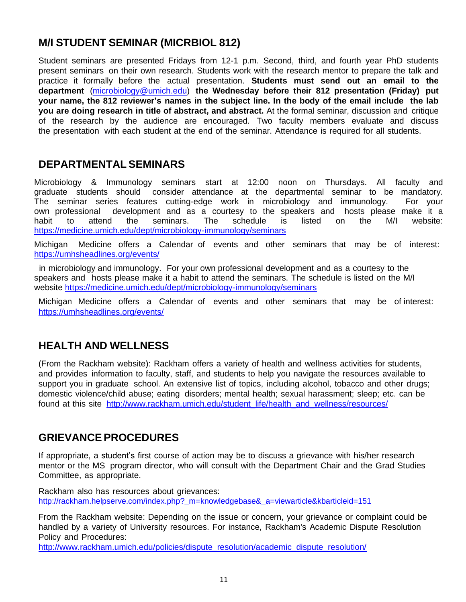## **M/I STUDENT SEMINAR (MICRBIOL 812)**

Student seminars are presented Fridays from 12-1 p.m. Second, third, and fourth year PhD students present seminars on their own research. Students work with the research mentor to prepare the talk and practice it formally before the actual presentation. **Students must send out an email to the department** (microbiology@umich.edu) **the Wednesday before their 812 presentation (Friday) put your name, the 812 reviewer's names in the subject line. In the body of the email include the lab you are doing research in title of abstract, and abstract.** At the formal seminar, discussion and critique of the research by the audience are encouraged. Two faculty members evaluate and discuss the presentation with each student at the end of the seminar. Attendance is required for all students.

## **DEPARTMENTALSEMINARS**

Microbiology & Immunology seminars start at 12:00 noon on Thursdays. All faculty and graduate students should consider attendance at the departmental seminar to be mandatory. The seminar series features cutting-edge work in microbiology and immunology. For your own professional development and as a courtesy to the speakers and hosts please make it a habit to attend the seminars. The schedule is listed on the M/I website: https://medicine.umich.edu/dept/microbiology-immunology/seminars

Michigan Medicine offers a Calendar of events and other seminars that may be of interest: https://umhsheadlines.org/events/

in microbiology and immunology. For your own professional development and as a courtesy to the speakers and hosts please make it a habit to attend the seminars. The schedule is listed on the M/I website https://medicine.umich.edu/dept/microbiology-immunology/seminars

Michigan Medicine offers a Calendar of events and other seminars that may be of interest: https://umhsheadlines.org/events/

## **HEALTH AND WELLNESS**

(From the Rackham website): Rackham offers a variety of health and wellness activities for students, and provides information to faculty, staff, and students to help you navigate the resources available to support you in graduate school. An extensive list of topics, including alcohol, tobacco and other drugs; domestic violence/child abuse; eating disorders; mental health; sexual harassment; sleep; etc. can be found at this site http://www.rackham.umich.edu/student life/health\_and\_wellness/resources/

## **GRIEVANCEPROCEDURES**

If appropriate, a student's first course of action may be to discuss a grievance with his/her research mentor or the MS program director, who will consult with the Department Chair and the Grad Studies Committee, as appropriate.

Rackham also has resources about grievances: http://rackham.helpserve.com/index.php? m=knowledgebase& a=viewarticle&kbarticleid=151

From the Rackham website: Depending on the issue or concern, your grievance or complaint could be handled by a variety of University resources. For instance, Rackham's Academic Dispute Resolution Policy and Procedures:

[http://www.rackham.umich.edu/policies/dispute\\_resolution/academic\\_dispute\\_resolution/](http://www.rackham.umich.edu/policies/dispute_resolution/academic_dispute_resolution/)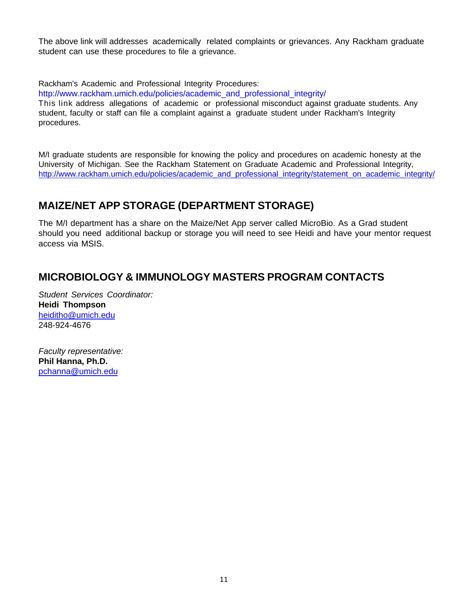The above link will addresses academically related complaints or grievances. Any Rackham graduate student can use these procedures to file a grievance.

Rackham's Academic and Professional Integrity Procedures:

[http://www.rackham.umich.edu/policies/academic\\_and\\_professional\\_integrity/](http://www.rackham.umich.edu/policies/academic_and_professional_integrity/)

This link address allegations of academic or professional misconduct against graduate students. Any student, faculty or staff can file a complaint against a graduate student under Rackham's Integrity procedures.

M/I graduate students are responsible for knowing the policy and procedures on academic honesty at the University of Michigan. See the Rackham Statement on Graduate Academic and Professional Integrity, http://www.rackham.umich.edu/policies/academic\_and\_professional\_integrity/statement\_on\_academic\_integrity/

## **MAIZE/NET APP STORAGE (DEPARTMENT STORAGE)**

The M/I department has a share on the Maize/Net App server called MicroBio. As a Grad student should you need additional backup or storage you will need to see Heidi and have your mentor request access via MSIS.

## **MICROBIOLOGY & IMMUNOLOGY MASTERS PROGRAM CONTACTS**

*Student Services Coordinator:* **Heidi Thompson** [heiditho@umich.edu](mailto:heiditho@umich.edu) 248-924-4676

*Faculty representative:* **Phil Hanna, Ph.D.** [pchanna@umich.edu](mailto:pchanna@umich.edu)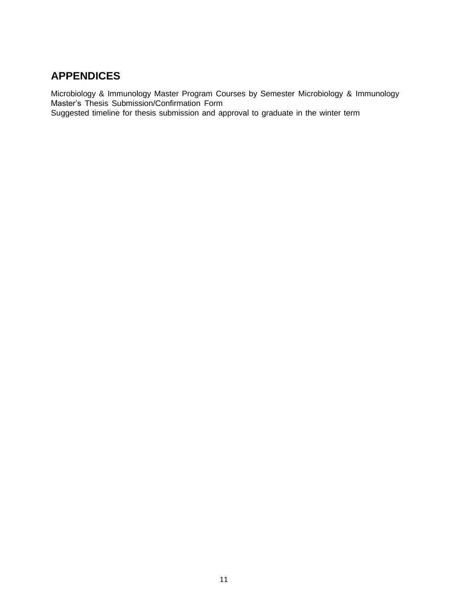## **APPENDICES**

Microbiology & Immunology Master Program Courses by Semester Microbiology & Immunology Master's Thesis Submission/Confirmation Form Suggested timeline for thesis submission and approval to graduate in the winter term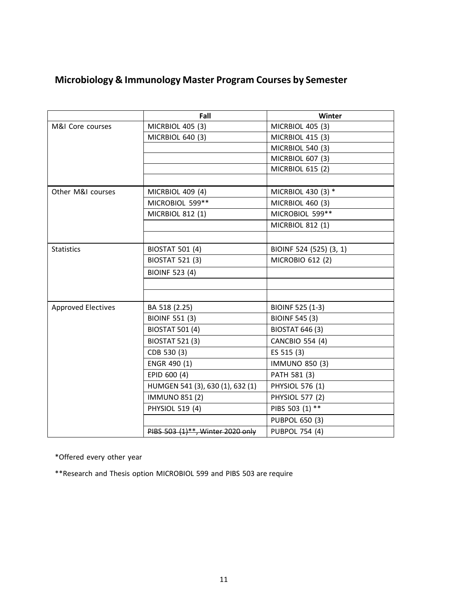## **Microbiology & Immunology Master Program Courses by Semester**

|                           | Fall                             | Winter                  |
|---------------------------|----------------------------------|-------------------------|
| M&I Core courses          | MICRBIOL 405 (3)                 | MICRBIOL 405 (3)        |
|                           | MICRBIOL 640 (3)                 | MICRBIOL 415 (3)        |
|                           |                                  | <b>MICRBIOL 540 (3)</b> |
|                           |                                  | MICRBIOL 607 (3)        |
|                           |                                  | MICRBIOL 615 (2)        |
|                           |                                  |                         |
| Other M&I courses         | MICRBIOL 409 (4)                 | MICRBIOL 430 (3) *      |
|                           | MICROBIOL 599**                  | MICRBIOL 460 (3)        |
|                           | MICRBIOL 812 (1)                 | MICROBIOL 599**         |
|                           |                                  | <b>MICRBIOL 812 (1)</b> |
|                           |                                  |                         |
| <b>Statistics</b>         | <b>BIOSTAT 501 (4)</b>           | BIOINF 524 (525) (3, 1) |
|                           | <b>BIOSTAT 521 (3)</b>           | MICROBIO 612 (2)        |
|                           | <b>BIOINF 523 (4)</b>            |                         |
|                           |                                  |                         |
|                           |                                  |                         |
| <b>Approved Electives</b> | BA 518 (2.25)                    | <b>BIOINF 525 (1-3)</b> |
|                           | <b>BIOINF 551 (3)</b>            | <b>BIOINF 545 (3)</b>   |
|                           | <b>BIOSTAT 501 (4)</b>           | <b>BIOSTAT 646 (3)</b>  |
|                           | <b>BIOSTAT 521 (3)</b>           | <b>CANCBIO 554 (4)</b>  |
|                           | CDB 530 (3)                      | ES 515 (3)              |
|                           | ENGR 490 (1)                     | <b>IMMUNO 850 (3)</b>   |
|                           | EPID 600 (4)                     | PATH 581 (3)            |
|                           | HUMGEN 541 (3), 630 (1), 632 (1) | PHYSIOL 576 (1)         |
|                           | <b>IMMUNO 851 (2)</b>            | <b>PHYSIOL 577 (2)</b>  |
|                           | PHYSIOL 519 (4)                  | PIBS 503 (1) **         |
|                           |                                  | <b>PUBPOL 650 (3)</b>   |
|                           | PIBS 503 (1)**, Winter 2020 only | <b>PUBPOL 754 (4)</b>   |

\*Offered every other year

\*\*Research and Thesis option MICROBIOL 599 and PIBS 503 are require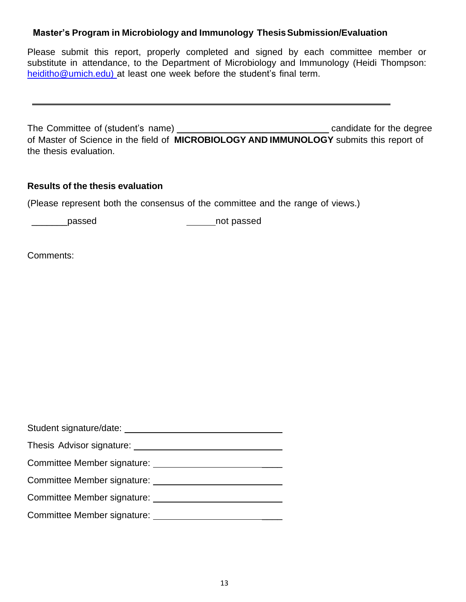#### **Master's Program in Microbiology and Immunology ThesisSubmission/Evaluation**

Please submit this report, properly completed and signed by each committee member or substitute in attendance, to the Department of Microbiology and Immunology (Heidi Thompson: heiditho@umich.edu) at least one week before the student's final term.

The Committee of (student's name) candidate for the degree of Master of Science in the field of **MICROBIOLOGY AND IMMUNOLOGY** submits this report of the thesis evaluation.

#### **Results of the thesis evaluation**

(Please represent both the consensus of the committee and the range of views.)

\_\_\_\_\_\_\_passed not passed

Comments:

| Student signature/date:     |
|-----------------------------|
| Thesis Advisor signature:   |
| Committee Member signature: |
| Committee Member signature: |
| Committee Member signature: |
| Committee Member signature: |